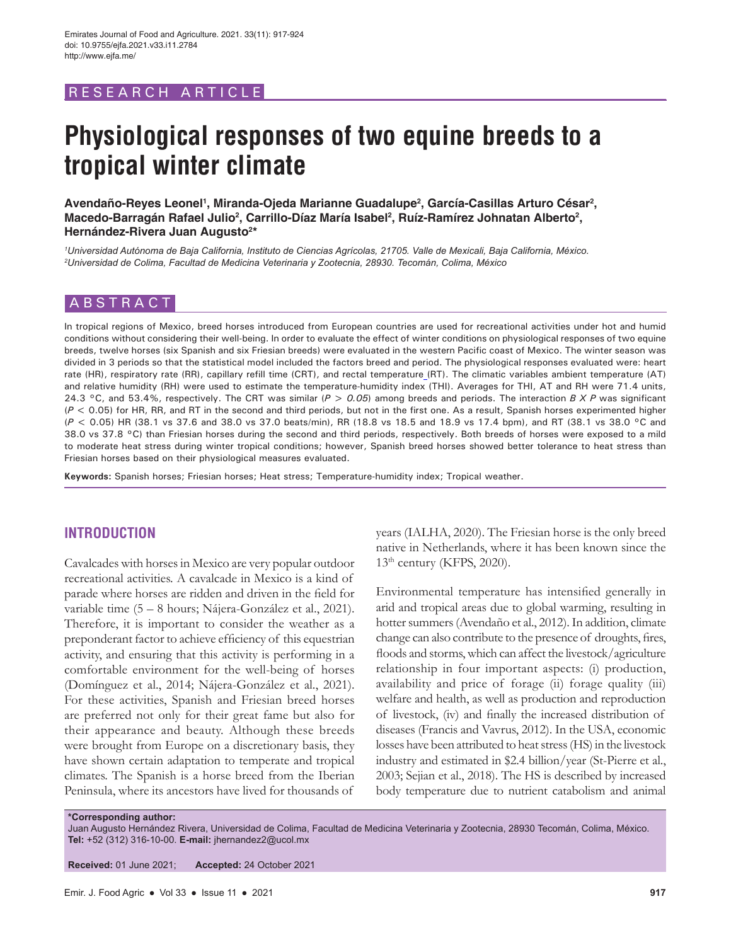# RESEARCH ARTICLE

# **Physiological responses of two equine breeds to a tropical winter climate**

Avendaño-Reyes Leonel<sup>1</sup>, Miranda-Ojeda Marianne Guadalupe<sup>2</sup>, García-Casillas Arturo César<sup>2</sup>, Macedo-Barragán Rafael Julio<sup>2</sup>, Carrillo-Díaz María Isabel<sup>2</sup>, Ruíz-Ramírez Johnatan Alberto<sup>2</sup>, **Hernández-Rivera Juan Augusto2 \***

*1 Universidad Autónoma de Baja California, Instituto de Ciencias Agrícolas, 21705. Valle de Mexicali, Baja California, México. 2 Universidad de Colima, Facultad de Medicina Veterinaria y Zootecnia, 28930. Tecomán, Colima, México*

# ABSTRACT

In tropical regions of Mexico, breed horses introduced from European countries are used for recreational activities under hot and humid conditions without considering their well-being. In order to evaluate the effect of winter conditions on physiological responses of two equine breeds, twelve horses (six Spanish and six Friesian breeds) were evaluated in the western Pacific coast of Mexico. The winter season was divided in 3 periods so that the statistical model included the factors breed and period. The physiological responses evaluated were: heart rate (HR), respiratory rate (RR), capillary refill time (CRT), and rectal temperature (RT). The climatic variables ambient temperature (AT) and relative humidity (RH) were used to estimate the temperature-humidity index (THI). Averages for THI, AT and RH were 71.4 units, 24.3 °C, and 53.4%, respectively. The CRT was similar (*P > 0.05*) among breeds and periods. The interaction *B X P* was significant (*P <* 0.05) for HR, RR, and RT in the second and third periods, but not in the first one. As a result, Spanish horses experimented higher (*P <* 0.05) HR (38.1 vs 37.6 and 38.0 vs 37.0 beats/min), RR (18.8 vs 18.5 and 18.9 vs 17.4 bpm), and RT (38.1 vs 38.0 °C and 38.0 vs 37.8 °C) than Friesian horses during the second and third periods, respectively. Both breeds of horses were exposed to a mild to moderate heat stress during winter tropical conditions; however, Spanish breed horses showed better tolerance to heat stress than Friesian horses based on their physiological measures evaluated.

**Keywords:** Spanish horses; Friesian horses; Heat stress; Temperature-humidity index; Tropical weather.

# **INTRODUCTION**

Cavalcades with horses in Mexico are very popular outdoor recreational activities. A cavalcade in Mexico is a kind of parade where horses are ridden and driven in the field for variable time (5 – 8 hours; Nájera-González et al., 2021). Therefore, it is important to consider the weather as a preponderant factor to achieve efficiency of this equestrian activity, and ensuring that this activity is performing in a comfortable environment for the well-being of horses (Domínguez et al., 2014; Nájera-González et al., 2021). For these activities, Spanish and Friesian breed horses are preferred not only for their great fame but also for their appearance and beauty. Although these breeds were brought from Europe on a discretionary basis, they have shown certain adaptation to temperate and tropical climates. The Spanish is a horse breed from the Iberian Peninsula, where its ancestors have lived for thousands of years (IALHA, 2020). The Friesian horse is the only breed native in Netherlands, where it has been known since the 13th century (KFPS, 2020).

Environmental temperature has intensified generally in arid and tropical areas due to global warming, resulting in hotter summers (Avendaño et al., 2012). In addition, climate change can also contribute to the presence of droughts, fires, floods and storms, which can affect the livestock/agriculture relationship in four important aspects: (i) production, availability and price of forage (ii) forage quality (iii) welfare and health, as well as production and reproduction of livestock, (iv) and finally the increased distribution of diseases (Francis and Vavrus, 2012). In the USA, economic losses have been attributed to heat stress (HS) in the livestock industry and estimated in \$2.4 billion/year (St-Pierre et al., 2003; Sejian et al., 2018). The HS is described by increased body temperature due to nutrient catabolism and animal

**\*Corresponding author:**

Juan Augusto Hernández Rivera, Universidad de Colima, Facultad de Medicina Veterinaria y Zootecnia, 28930 Tecomán, Colima, México. **Tel:** +52 (312) 316-10-00. **E-mail:** jhernandez2@ucol.mx

**Received:** 01 June 2021; **Accepted:** 24 October 2021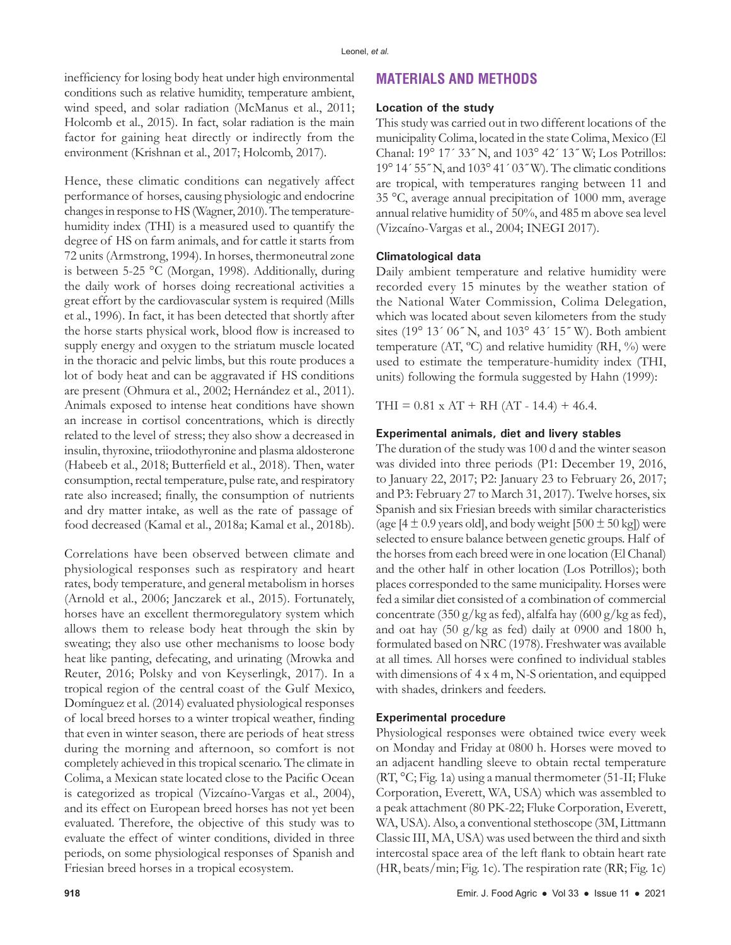inefficiency for losing body heat under high environmental conditions such as relative humidity, temperature ambient, wind speed, and solar radiation (McManus et al., 2011; Holcomb et al., 2015). In fact, solar radiation is the main factor for gaining heat directly or indirectly from the environment (Krishnan et al., 2017; Holcomb, 2017).

Hence, these climatic conditions can negatively affect performance of horses, causing physiologic and endocrine changes in response to HS (Wagner, 2010). The temperaturehumidity index (THI) is a measured used to quantify the degree of HS on farm animals, and for cattle it starts from 72 units (Armstrong, 1994). In horses, thermoneutral zone is between 5-25 °C (Morgan, 1998). Additionally, during the daily work of horses doing recreational activities a great effort by the cardiovascular system is required (Mills et al., 1996). In fact, it has been detected that shortly after the horse starts physical work, blood flow is increased to supply energy and oxygen to the striatum muscle located in the thoracic and pelvic limbs, but this route produces a lot of body heat and can be aggravated if HS conditions are present (Ohmura et al., 2002; Hernández et al., 2011). Animals exposed to intense heat conditions have shown an increase in cortisol concentrations, which is directly related to the level of stress; they also show a decreased in insulin, thyroxine, triiodothyronine and plasma aldosterone (Habeeb et al., 2018; Butterfield et al., 2018). Then, water consumption, rectal temperature, pulse rate, and respiratory rate also increased; finally, the consumption of nutrients and dry matter intake, as well as the rate of passage of food decreased (Kamal et al., 2018a; Kamal et al., 2018b).

Correlations have been observed between climate and physiological responses such as respiratory and heart rates, body temperature, and general metabolism in horses (Arnold et al., 2006; Janczarek et al., 2015). Fortunately, horses have an excellent thermoregulatory system which allows them to release body heat through the skin by sweating; they also use other mechanisms to loose body heat like panting, defecating, and urinating (Mrowka and Reuter, 2016; Polsky and von Keyserlingk, 2017). In a tropical region of the central coast of the Gulf Mexico, Domínguez et al. (2014) evaluated physiological responses of local breed horses to a winter tropical weather, finding that even in winter season, there are periods of heat stress during the morning and afternoon, so comfort is not completely achieved in this tropical scenario. The climate in Colima, a Mexican state located close to the Pacific Ocean is categorized as tropical (Vizcaíno-Vargas et al., 2004), and its effect on European breed horses has not yet been evaluated. Therefore, the objective of this study was to evaluate the effect of winter conditions, divided in three periods, on some physiological responses of Spanish and Friesian breed horses in a tropical ecosystem.

# **MATERIALS AND METHODS**

## **Location of the study**

This study was carried out in two different locations of the municipality Colima, located in the state Colima, Mexico (El Chanal: 19° 17´ 33˝ N, and 103° 42´ 13˝ W; Los Potrillos: 19° 14´ 55˝ N, and 103° 41´ 03˝ W). The climatic conditions are tropical, with temperatures ranging between 11 and 35 °C, average annual precipitation of 1000 mm, average annual relative humidity of 50%, and 485 m above sea level (Vizcaíno-Vargas et al., 2004; INEGI 2017).

## **Climatological data**

Daily ambient temperature and relative humidity were recorded every 15 minutes by the weather station of the National Water Commission, Colima Delegation, which was located about seven kilometers from the study sites (19° 13´ 06˝ N, and 103° 43´ 15˝ W). Both ambient temperature (AT,  $^{\circ}$ C) and relative humidity (RH,  $^{\circ}$ ) were used to estimate the temperature-humidity index (THI, units) following the formula suggested by Hahn (1999):

THI =  $0.81 \times AT + RH$  (AT - 14.4) + 46.4.

## **Experimental animals, diet and livery stables**

The duration of the study was 100 d and the winter season was divided into three periods (P1: December 19, 2016, to January 22, 2017; P2: January 23 to February 26, 2017; and P3: February 27 to March 31, 2017). Twelve horses, six Spanish and six Friesian breeds with similar characteristics (age  $[4 \pm 0.9$  years old], and body weight  $[500 \pm 50$  kg]) were selected to ensure balance between genetic groups. Half of the horses from each breed were in one location (El Chanal) and the other half in other location (Los Potrillos); both places corresponded to the same municipality. Horses were fed a similar diet consisted of a combination of commercial concentrate (350 g/kg as fed), alfalfa hay (600 g/kg as fed), and oat hay (50 g/kg as fed) daily at 0900 and 1800 h, formulated based on NRC (1978). Freshwater was available at all times. All horses were confined to individual stables with dimensions of 4 x 4 m, N-S orientation, and equipped with shades, drinkers and feeders.

#### **Experimental procedure**

Physiological responses were obtained twice every week on Monday and Friday at 0800 h. Horses were moved to an adjacent handling sleeve to obtain rectal temperature (RT, °C; Fig. 1a) using a manual thermometer (51-II; Fluke Corporation, Everett, WA, USA) which was assembled to a peak attachment (80 PK-22; Fluke Corporation, Everett, WA, USA). Also, a conventional stethoscope (3M, Littmann Classic III, MA, USA) was used between the third and sixth intercostal space area of the left flank to obtain heart rate (HR, beats/min; Fig. 1c). The respiration rate (RR; Fig. 1c)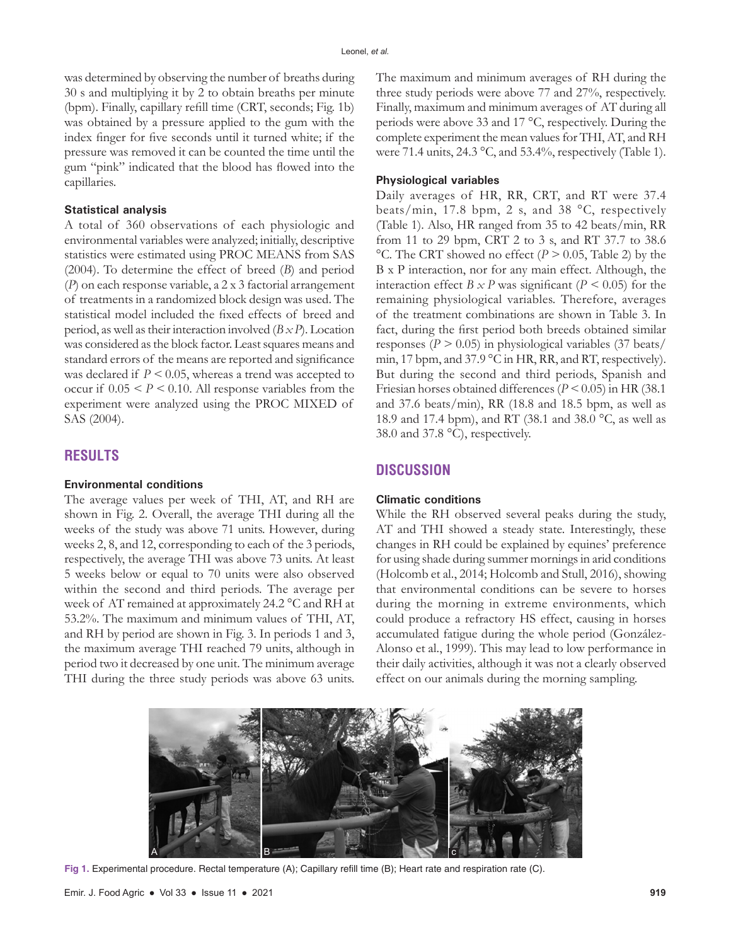was determined by observing the number of breaths during 30 s and multiplying it by 2 to obtain breaths per minute (bpm). Finally, capillary refill time (CRT, seconds; Fig. 1b) was obtained by a pressure applied to the gum with the index finger for five seconds until it turned white; if the pressure was removed it can be counted the time until the gum "pink" indicated that the blood has flowed into the capillaries.

## **Statistical analysis**

A total of 360 observations of each physiologic and environmental variables were analyzed; initially, descriptive statistics were estimated using PROC MEANS from SAS (2004). To determine the effect of breed (*B*) and period (*P*) on each response variable, a 2 x 3 factorial arrangement of treatments in a randomized block design was used. The statistical model included the fixed effects of breed and period, as well as their interaction involved (*B x P*). Location was considered as the block factor. Least squares means and standard errors of the means are reported and significance was declared if *P <* 0.05, whereas a trend was accepted to occur if  $0.05 < P < 0.10$ . All response variables from the experiment were analyzed using the PROC MIXED of SAS (2004).

# **RESULTS**

#### **Environmental conditions**

The average values per week of THI, AT, and RH are shown in Fig. 2. Overall, the average THI during all the weeks of the study was above 71 units. However, during weeks 2, 8, and 12, corresponding to each of the 3 periods, respectively, the average THI was above 73 units. At least 5 weeks below or equal to 70 units were also observed within the second and third periods. The average per week of AT remained at approximately 24.2 °C and RH at 53.2%. The maximum and minimum values of THI, AT, and RH by period are shown in Fig. 3. In periods 1 and 3, the maximum average THI reached 79 units, although in period two it decreased by one unit. The minimum average THI during the three study periods was above 63 units. The maximum and minimum averages of RH during the three study periods were above 77 and 27%, respectively. Finally, maximum and minimum averages of AT during all periods were above 33 and 17 °C, respectively. During the complete experiment the mean values for THI, AT, and RH were 71.4 units, 24.3 °C, and 53.4%, respectively (Table 1).

### **Physiological variables**

Daily averages of HR, RR, CRT, and RT were 37.4 beats/min, 17.8 bpm, 2 s, and 38 °C, respectively (Table 1). Also, HR ranged from 35 to 42 beats/min, RR from 11 to 29 bpm, CRT 2 to 3 s, and RT 37.7 to 38.6 °C. The CRT showed no effect (*P >* 0.05, Table 2) by the B x P interaction, nor for any main effect. Although, the interaction effect  $B \times P$  was significant ( $P < 0.05$ ) for the remaining physiological variables. Therefore, averages of the treatment combinations are shown in Table 3. In fact, during the first period both breeds obtained similar responses (*P >* 0.05) in physiological variables (37 beats/ min, 17 bpm, and 37.9 °C in HR, RR, and RT, respectively). But during the second and third periods, Spanish and Friesian horses obtained differences (*P <* 0.05) in HR (38.1 and 37.6 beats/min), RR (18.8 and 18.5 bpm, as well as 18.9 and 17.4 bpm), and RT (38.1 and 38.0 °C, as well as 38.0 and 37.8 °C), respectively.

## **DISCUSSION**

#### **Climatic conditions**

While the RH observed several peaks during the study, AT and THI showed a steady state. Interestingly, these changes in RH could be explained by equines' preference for using shade during summer mornings in arid conditions (Holcomb et al., 2014; Holcomb and Stull, 2016), showing that environmental conditions can be severe to horses during the morning in extreme environments, which could produce a refractory HS effect, causing in horses accumulated fatigue during the whole period (González-Alonso et al., 1999). This may lead to low performance in their daily activities, although it was not a clearly observed effect on our animals during the morning sampling.



**Fig 1.** Experimental procedure. Rectal temperature (A); Capillary refill time (B); Heart rate and respiration rate (C).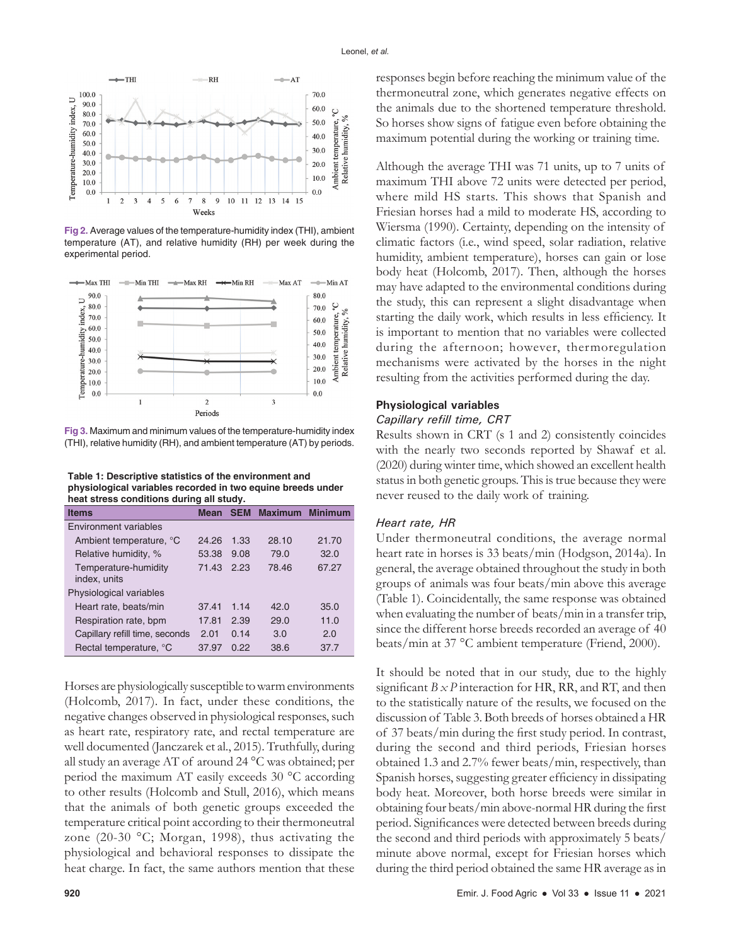

**Fig 2.** Average values of the temperature-humidity index (THI), ambient temperature (AT), and relative humidity (RH) per week during the experimental period.



**Fig 3.** Maximum and minimum values of the temperature-humidity index (THI), relative humidity (RH), and ambient temperature (AT) by periods.

**Table 1: Descriptive statistics of the environment and physiological variables recorded in two equine breeds under heat stress conditions during all study.**

| <b>Items</b>                         | <b>Mean</b> | <b>SEM</b> | <b>Maximum</b> | <b>Minimum</b> |
|--------------------------------------|-------------|------------|----------------|----------------|
| Environment variables                |             |            |                |                |
| Ambient temperature, °C              | 24.26       | 1.33       | 28.10          | 21.70          |
| Relative humidity, %                 | 53.38       | 9.08       | 79.0           | 32.0           |
| Temperature-humidity<br>index, units | 71.43       | 2.23       | 78.46          | 67.27          |
| Physiological variables              |             |            |                |                |
| Heart rate, beats/min                | 37.41       | 1.14       | 42.0           | 35.0           |
| Respiration rate, bpm                | 17.81       | 2.39       | 29.0           | 11.0           |
| Capillary refill time, seconds       | 2.01        | 0.14       | 3.0            | 2.0            |
| Rectal temperature, °C               | 37.97       | 0.22       | 38.6           | 37.7           |

Horses are physiologically susceptible to warm environments (Holcomb, 2017). In fact, under these conditions, the negative changes observed in physiological responses, such as heart rate, respiratory rate, and rectal temperature are well documented (Janczarek et al., 2015). Truthfully, during all study an average AT of around 24 °C was obtained; per period the maximum AT easily exceeds 30 °C according to other results (Holcomb and Stull, 2016), which means that the animals of both genetic groups exceeded the temperature critical point according to their thermoneutral zone (20-30 °C; Morgan, 1998), thus activating the physiological and behavioral responses to dissipate the heat charge. In fact, the same authors mention that these

responses begin before reaching the minimum value of the thermoneutral zone, which generates negative effects on the animals due to the shortened temperature threshold. So horses show signs of fatigue even before obtaining the maximum potential during the working or training time.

Although the average THI was 71 units, up to 7 units of maximum THI above 72 units were detected per period, where mild HS starts. This shows that Spanish and Friesian horses had a mild to moderate HS, according to Wiersma (1990). Certainty, depending on the intensity of climatic factors (i.e., wind speed, solar radiation, relative humidity, ambient temperature), horses can gain or lose body heat (Holcomb, 2017). Then, although the horses may have adapted to the environmental conditions during the study, this can represent a slight disadvantage when starting the daily work, which results in less efficiency. It is important to mention that no variables were collected during the afternoon; however, thermoregulation mechanisms were activated by the horses in the night resulting from the activities performed during the day.

## **Physiological variables**

# *Capillary refill time, CRT*

Results shown in CRT (s 1 and 2) consistently coincides with the nearly two seconds reported by Shawaf et al. (2020) during winter time, which showed an excellent health status in both genetic groups. This is true because they were never reused to the daily work of training.

### *Heart rate, HR*

Under thermoneutral conditions, the average normal heart rate in horses is 33 beats/min (Hodgson, 2014a). In general, the average obtained throughout the study in both groups of animals was four beats/min above this average (Table 1). Coincidentally, the same response was obtained when evaluating the number of beats/min in a transfer trip, since the different horse breeds recorded an average of 40 beats/min at 37 °C ambient temperature (Friend, 2000).

It should be noted that in our study, due to the highly significant *B x P* interaction for HR, RR, and RT, and then to the statistically nature of the results, we focused on the discussion of Table 3. Both breeds of horses obtained a HR of 37 beats/min during the first study period. In contrast, during the second and third periods, Friesian horses obtained 1.3 and 2.7% fewer beats/min, respectively, than Spanish horses, suggesting greater efficiency in dissipating body heat. Moreover, both horse breeds were similar in obtaining four beats/min above-normal HR during the first period. Significances were detected between breeds during the second and third periods with approximately 5 beats/ minute above normal, except for Friesian horses which during the third period obtained the same HR average as in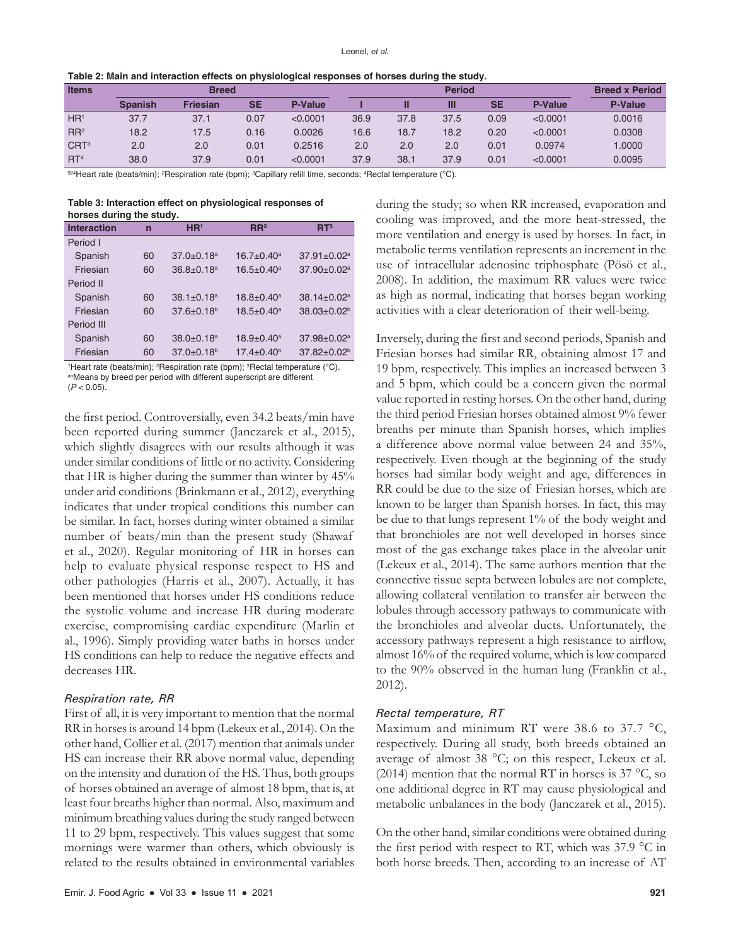| <b>Items</b>     | <b>Breed</b>   |                 |           |          | <b>Period</b> |      |      |           | <b>Breed x Period</b> |                |
|------------------|----------------|-----------------|-----------|----------|---------------|------|------|-----------|-----------------------|----------------|
|                  | <b>Spanish</b> | <b>Friesian</b> | <b>SE</b> | P-Value  |               |      | M    | <b>SE</b> | <b>P-Value</b>        | <b>P-Value</b> |
| HR <sup>1</sup>  | 37.7           | 37.1            | 0.07      | < 0.0001 | 36.9          | 37.8 | 37.5 | 0.09      | < 0.0001              | 0.0016         |
| RR <sup>2</sup>  | 18.2           | 17.5            | 0.16      | 0.0026   | 16.6          | 18.7 | 18.2 | 0.20      | < 0.0001              | 0.0308         |
| CRT <sup>3</sup> | 2.0            | 2.0             | 0.01      | 0.2516   | 2.0           | 2.0  | 2.0  | 0.01      | 0.0974                | 1.0000         |
| RT <sup>4</sup>  | 38.0           | 37.9            | 0.01      | < 0.0001 | 37.9          | 38.1 | 37.9 | 0.01      | < 0.0001              | 0.0095         |

**Table 2: Main and interaction effects on physiological responses of horses during the study.**

<sup>924</sup>Heart rate (beats/min); <sup>2</sup>Respiration rate (bpm); <sup>3</sup>Capillary refill time, seconds; <sup>4</sup>Rectal temperature (°C).

**Table 3: Interaction effect on physiological responses of horses during the study.**

| <b>Interaction</b> | n  | HR <sup>1</sup>              | $\mathbf{R} \mathbf{R}^2$ | RT <sup>3</sup>               |
|--------------------|----|------------------------------|---------------------------|-------------------------------|
| Period I           |    |                              |                           |                               |
| Spanish            | 60 | $37.0 \pm 0.18$ <sup>a</sup> | $16.7 \pm 0.40^a$         | $37.91 \pm 0.02^a$            |
| Friesian           | 60 | $36.8 + 0.18$ <sup>a</sup>   | $16.5 \pm 0.40^a$         | $37.90 \pm 0.02$ <sup>a</sup> |
| Period II          |    |                              |                           |                               |
| Spanish            | 60 | $38.1 \pm 0.18$ <sup>a</sup> | $18.8 \pm 0.40^a$         | $38.14 \pm 0.02$ <sup>a</sup> |
| Friesian           | 60 | $37.6 \pm 0.18^b$            | $18.5 \pm 0.40^a$         | $38.03 \pm 0.02^b$            |
| Period III         |    |                              |                           |                               |
| Spanish            | 60 | $38.0 + 0.18$ <sup>a</sup>   | $18.9 + 0.40^a$           | $37.98 \pm 0.02^a$            |
| Friesian           | 60 | $37.0 + 0.18$ <sup>b</sup>   | $17.4 \pm 0.40^{\circ}$   | $37.82 \pm 0.02^b$            |
|                    |    |                              |                           |                               |

1 Heart rate (beats/min); <sup>2</sup> Respiration rate (bpm); <sup>3</sup> Rectal temperature (°C). abMeans by breed per period with different superscript are different (*P* < 0.05).

the first period. Controversially, even 34.2 beats/min have been reported during summer (Janczarek et al., 2015), which slightly disagrees with our results although it was under similar conditions of little or no activity. Considering that HR is higher during the summer than winter by 45% under arid conditions (Brinkmann et al., 2012), everything indicates that under tropical conditions this number can be similar. In fact, horses during winter obtained a similar number of beats/min than the present study (Shawaf et al., 2020). Regular monitoring of HR in horses can help to evaluate physical response respect to HS and other pathologies (Harris et al., 2007). Actually, it has been mentioned that horses under HS conditions reduce the systolic volume and increase HR during moderate exercise, compromising cardiac expenditure (Marlin et al., 1996). Simply providing water baths in horses under HS conditions can help to reduce the negative effects and decreases HR.

## *Respiration rate, RR*

First of all, it is very important to mention that the normal RR in horses is around 14 bpm (Lekeux et al., 2014). On the other hand, Collier et al. (2017) mention that animals under HS can increase their RR above normal value, depending on the intensity and duration of the HS. Thus, both groups of horses obtained an average of almost 18 bpm, that is, at least four breaths higher than normal. Also, maximum and minimum breathing values during the study ranged between 11 to 29 bpm, respectively. This values suggest that some mornings were warmer than others, which obviously is related to the results obtained in environmental variables during the study; so when RR increased, evaporation and cooling was improved, and the more heat-stressed, the more ventilation and energy is used by horses. In fact, in metabolic terms ventilation represents an increment in the use of intracellular adenosine triphosphate (Pösö et al., 2008). In addition, the maximum RR values were twice as high as normal, indicating that horses began working activities with a clear deterioration of their well-being.

Inversely, during the first and second periods, Spanish and Friesian horses had similar RR, obtaining almost 17 and 19 bpm, respectively. This implies an increased between 3 and 5 bpm, which could be a concern given the normal value reported in resting horses. On the other hand, during the third period Friesian horses obtained almost 9% fewer breaths per minute than Spanish horses, which implies a difference above normal value between 24 and 35%, respectively. Even though at the beginning of the study horses had similar body weight and age, differences in RR could be due to the size of Friesian horses, which are known to be larger than Spanish horses. In fact, this may be due to that lungs represent 1% of the body weight and that bronchioles are not well developed in horses since most of the gas exchange takes place in the alveolar unit (Lekeux et al., 2014). The same authors mention that the connective tissue septa between lobules are not complete, allowing collateral ventilation to transfer air between the lobules through accessory pathways to communicate with the bronchioles and alveolar ducts. Unfortunately, the accessory pathways represent a high resistance to airflow, almost 16% of the required volume, which is low compared to the 90% observed in the human lung (Franklin et al., 2012).

#### *Rectal temperature, RT*

Maximum and minimum RT were 38.6 to 37.7 °C, respectively. During all study, both breeds obtained an average of almost 38 °C; on this respect, Lekeux et al. (2014) mention that the normal RT in horses is  $37 °C$ , so one additional degree in RT may cause physiological and metabolic unbalances in the body (Janczarek et al., 2015).

On the other hand, similar conditions were obtained during the first period with respect to RT, which was 37.9 °C in both horse breeds. Then, according to an increase of AT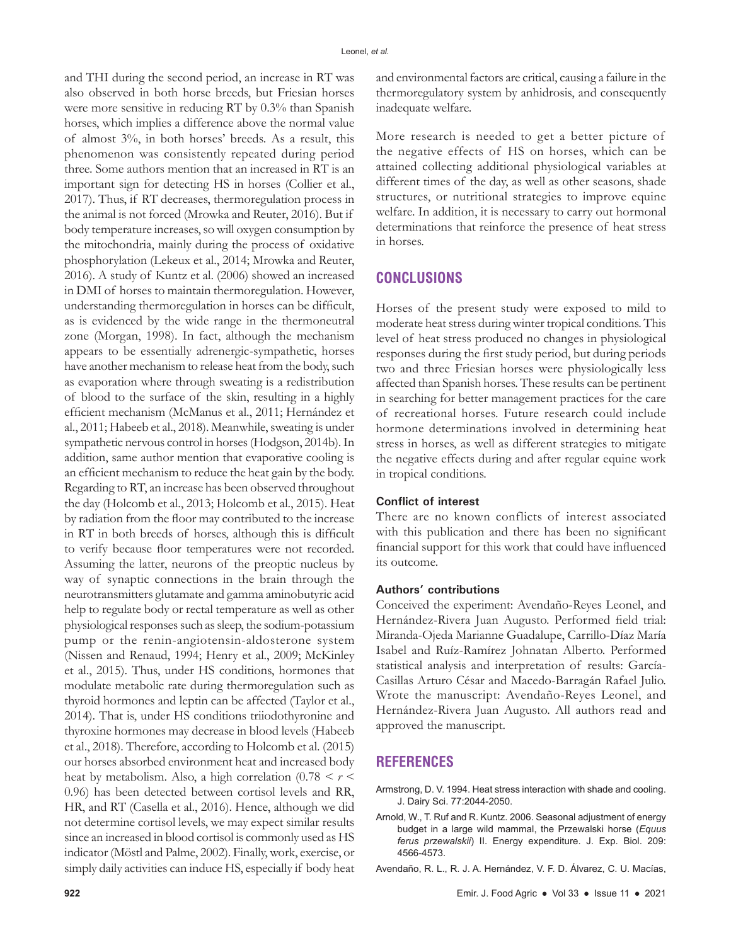and THI during the second period, an increase in RT was also observed in both horse breeds, but Friesian horses were more sensitive in reducing RT by 0.3% than Spanish horses, which implies a difference above the normal value of almost 3%, in both horses' breeds. As a result, this phenomenon was consistently repeated during period three. Some authors mention that an increased in RT is an important sign for detecting HS in horses (Collier et al., 2017). Thus, if RT decreases, thermoregulation process in the animal is not forced (Mrowka and Reuter, 2016). But if body temperature increases, so will oxygen consumption by the mitochondria, mainly during the process of oxidative phosphorylation (Lekeux et al., 2014; Mrowka and Reuter, 2016). A study of Kuntz et al. (2006) showed an increased in DMI of horses to maintain thermoregulation. However, understanding thermoregulation in horses can be difficult, as is evidenced by the wide range in the thermoneutral zone (Morgan, 1998). In fact, although the mechanism appears to be essentially adrenergic-sympathetic, horses have another mechanism to release heat from the body, such as evaporation where through sweating is a redistribution of blood to the surface of the skin, resulting in a highly efficient mechanism (McManus et al., 2011; Hernández et al., 2011; Habeeb et al., 2018). Meanwhile, sweating is under sympathetic nervous control in horses (Hodgson, 2014b). In addition, same author mention that evaporative cooling is an efficient mechanism to reduce the heat gain by the body. Regarding to RT, an increase has been observed throughout the day (Holcomb et al., 2013; Holcomb et al., 2015). Heat by radiation from the floor may contributed to the increase in RT in both breeds of horses, although this is difficult to verify because floor temperatures were not recorded. Assuming the latter, neurons of the preoptic nucleus by way of synaptic connections in the brain through the neurotransmitters glutamate and gamma aminobutyric acid help to regulate body or rectal temperature as well as other physiological responses such as sleep, the sodium-potassium pump or the renin-angiotensin-aldosterone system (Nissen and Renaud, 1994; Henry et al., 2009; McKinley et al., 2015). Thus, under HS conditions, hormones that modulate metabolic rate during thermoregulation such as thyroid hormones and leptin can be affected (Taylor et al., 2014). That is, under HS conditions triiodothyronine and thyroxine hormones may decrease in blood levels (Habeeb et al., 2018). Therefore, according to Holcomb et al. (2015) our horses absorbed environment heat and increased body heat by metabolism. Also, a high correlation (0.78 *< r <* 0.96) has been detected between cortisol levels and RR, HR, and RT (Casella et al., 2016). Hence, although we did not determine cortisol levels, we may expect similar results since an increased in blood cortisol is commonly used as HS indicator (Möstl and Palme, 2002). Finally, work, exercise, or simply daily activities can induce HS, especially if body heat

and environmental factors are critical, causing a failure in the thermoregulatory system by anhidrosis, and consequently inadequate welfare.

More research is needed to get a better picture of the negative effects of HS on horses, which can be attained collecting additional physiological variables at different times of the day, as well as other seasons, shade structures, or nutritional strategies to improve equine welfare. In addition, it is necessary to carry out hormonal determinations that reinforce the presence of heat stress in horses.

# **CONCLUSIONS**

Horses of the present study were exposed to mild to moderate heat stress during winter tropical conditions. This level of heat stress produced no changes in physiological responses during the first study period, but during periods two and three Friesian horses were physiologically less affected than Spanish horses. These results can be pertinent in searching for better management practices for the care of recreational horses. Future research could include hormone determinations involved in determining heat stress in horses, as well as different strategies to mitigate the negative effects during and after regular equine work in tropical conditions.

## **Conflict of interest**

There are no known conflicts of interest associated with this publication and there has been no significant financial support for this work that could have influenced its outcome.

## **Authors' contributions**

Conceived the experiment: Avendaño-Reyes Leonel, and Hernández-Rivera Juan Augusto. Performed field trial: Miranda-Ojeda Marianne Guadalupe, Carrillo-Díaz María Isabel and Ruíz-Ramírez Johnatan Alberto. Performed statistical analysis and interpretation of results: García-Casillas Arturo César and Macedo-Barragán Rafael Julio. Wrote the manuscript: Avendaño-Reyes Leonel, and Hernández-Rivera Juan Augusto. All authors read and approved the manuscript.

## **REFERENCES**

- Armstrong, D. V. 1994. Heat stress interaction with shade and cooling. J. Dairy Sci. 77:2044-2050.
- Arnold, W., T. Ruf and R. Kuntz. 2006. Seasonal adjustment of energy budget in a large wild mammal, the Przewalski horse (*Equus ferus przewalskii*) II. Energy expenditure. J. Exp. Biol. 209: 4566-4573.
- Avendaño, R. L., R. J. A. Hernández, V. F. D. Álvarez, C. U. Macías,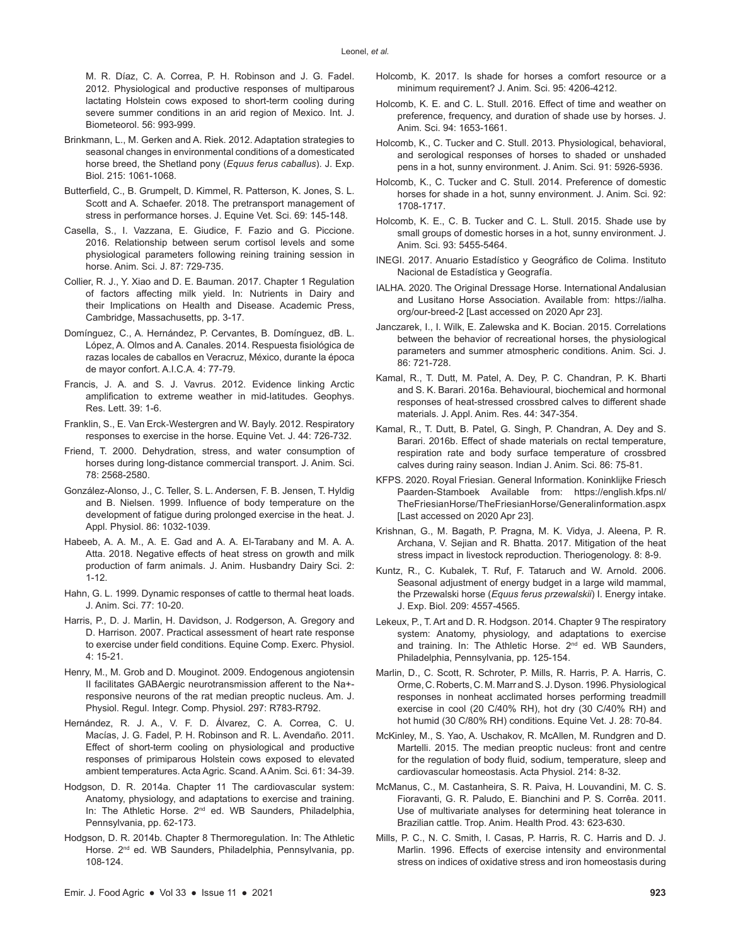M. R. Díaz, C. A. Correa, P. H. Robinson and J. G. Fadel. 2012. Physiological and productive responses of multiparous lactating Holstein cows exposed to short-term cooling during severe summer conditions in an arid region of Mexico. Int. J. Biometeorol. 56: 993-999.

- Brinkmann, L., M. Gerken and A. Riek. 2012. Adaptation strategies to seasonal changes in environmental conditions of a domesticated horse breed, the Shetland pony (*Equus ferus caballus*). J. Exp. Biol. 215: 1061-1068.
- Butterfield, C., B. Grumpelt, D. Kimmel, R. Patterson, K. Jones, S. L. Scott and A. Schaefer. 2018. The pretransport management of stress in performance horses. J. Equine Vet. Sci. 69: 145-148.
- Casella, S., I. Vazzana, E. Giudice, F. Fazio and G. Piccione. 2016. Relationship between serum cortisol levels and some physiological parameters following reining training session in horse. Anim. Sci. J. 87: 729-735.
- Collier, R. J., Y. Xiao and D. E. Bauman. 2017. Chapter 1 Regulation of factors affecting milk yield. In: Nutrients in Dairy and their Implications on Health and Disease. Academic Press, Cambridge, Massachusetts, pp. 3-17.
- Domínguez, C., A. Hernández, P. Cervantes, B. Domínguez, dB. L. López, A. Olmos and A. Canales. 2014. Respuesta fisiológica de razas locales de caballos en Veracruz, México, durante la época de mayor confort. A.I.C.A. 4: 77-79.
- Francis, J. A. and S. J. Vavrus. 2012. Evidence linking Arctic amplification to extreme weather in mid‐latitudes. Geophys. Res. Lett. 39: 1-6.
- Franklin, S., E. Van Erck‐Westergren and W. Bayly. 2012. Respiratory responses to exercise in the horse. Equine Vet. J. 44: 726-732.
- Friend, T. 2000. Dehydration, stress, and water consumption of horses during long-distance commercial transport. J. Anim. Sci. 78: 2568-2580.
- González-Alonso, J., C. Teller, S. L. Andersen, F. B. Jensen, T. Hyldig and B. Nielsen. 1999. Influence of body temperature on the development of fatigue during prolonged exercise in the heat. J. Appl. Physiol. 86: 1032-1039.
- Habeeb, A. A. M., A. E. Gad and A. A. El-Tarabany and M. A. A. Atta. 2018. Negative effects of heat stress on growth and milk production of farm animals. J. Anim. Husbandry Dairy Sci. 2: 1-12.
- Hahn, G. L. 1999. Dynamic responses of cattle to thermal heat loads. J. Anim. Sci. 77: 10-20.
- Harris, P., D. J. Marlin, H. Davidson, J. Rodgerson, A. Gregory and D. Harrison. 2007. Practical assessment of heart rate response to exercise under field conditions. Equine Comp. Exerc. Physiol. 4: 15-21.
- Henry, M., M. Grob and D. Mouginot. 2009. Endogenous angiotensin II facilitates GABAergic neurotransmission afferent to the Na+ responsive neurons of the rat median preoptic nucleus. Am. J. Physiol. Regul. Integr. Comp. Physiol. 297: R783-R792.
- Hernández, R. J. A., V. F. D. Álvarez, C. A. Correa, C. U. Macías, J. G. Fadel, P. H. Robinson and R. L. Avendaño. 2011. Effect of short-term cooling on physiological and productive responses of primiparous Holstein cows exposed to elevated ambient temperatures. Acta Agric. Scand. A Anim. Sci. 61: 34-39.
- Hodgson, D. R. 2014a. Chapter 11 The cardiovascular system: Anatomy, physiology, and adaptations to exercise and training. In: The Athletic Horse. 2nd ed. WB Saunders, Philadelphia, Pennsylvania, pp. 62-173.
- Hodgson, D. R. 2014b. Chapter 8 Thermoregulation. In: The Athletic Horse. 2<sup>nd</sup> ed. WB Saunders, Philadelphia, Pennsylvania, pp. 108-124.
- Holcomb, K. 2017. Is shade for horses a comfort resource or a minimum requirement? J. Anim. Sci. 95: 4206-4212.
- Holcomb, K. E. and C. L. Stull. 2016. Effect of time and weather on preference, frequency, and duration of shade use by horses. J. Anim. Sci. 94: 1653-1661.
- Holcomb, K., C. Tucker and C. Stull. 2013. Physiological, behavioral, and serological responses of horses to shaded or unshaded pens in a hot, sunny environment. J. Anim. Sci. 91: 5926-5936.
- Holcomb, K., C. Tucker and C. Stull. 2014. Preference of domestic horses for shade in a hot, sunny environment. J. Anim. Sci. 92: 1708-1717.
- Holcomb, K. E., C. B. Tucker and C. L. Stull. 2015. Shade use by small groups of domestic horses in a hot, sunny environment. J. Anim. Sci. 93: 5455-5464.
- INEGI. 2017. Anuario Estadístico y Geográfico de Colima. Instituto Nacional de Estadística y Geografía.
- IALHA. 2020. The Original Dressage Horse. International Andalusian and Lusitano Horse Association. Available from: https://ialha. org/our-breed-2 [Last accessed on 2020 Apr 23].
- Janczarek, I., I. Wilk, E. Zalewska and K. Bocian. 2015. Correlations between the behavior of recreational horses, the physiological parameters and summer atmospheric conditions. Anim. Sci. J. 86: 721-728.
- Kamal, R., T. Dutt, M. Patel, A. Dey, P. C. Chandran, P. K. Bharti and S. K. Barari. 2016a. Behavioural, biochemical and hormonal responses of heat-stressed crossbred calves to different shade materials. J. Appl. Anim. Res. 44: 347-354.
- Kamal, R., T. Dutt, B. Patel, G. Singh, P. Chandran, A. Dey and S. Barari. 2016b. Effect of shade materials on rectal temperature, respiration rate and body surface temperature of crossbred calves during rainy season. Indian J. Anim. Sci. 86: 75-81.
- KFPS. 2020. Royal Friesian. General Information. Koninklijke Friesch Paarden-Stamboek Available from: https://english.kfps.nl/ TheFriesianHorse/TheFriesianHorse/Generalinformation.aspx [Last accessed on 2020 Apr 23].
- Krishnan, G., M. Bagath, P. Pragna, M. K. Vidya, J. Aleena, P. R. Archana, V. Sejian and R. Bhatta. 2017. Mitigation of the heat stress impact in livestock reproduction. Theriogenology. 8: 8-9.
- Kuntz, R., C. Kubalek, T. Ruf, F. Tataruch and W. Arnold. 2006. Seasonal adjustment of energy budget in a large wild mammal, the Przewalski horse (*Equus ferus przewalskii*) I. Energy intake. J. Exp. Biol. 209: 4557-4565.
- Lekeux, P., T. Art and D. R. Hodgson. 2014. Chapter 9 The respiratory system: Anatomy, physiology, and adaptations to exercise and training. In: The Athletic Horse. 2<sup>nd</sup> ed. WB Saunders, Philadelphia, Pennsylvania, pp. 125-154.
- Marlin, D., C. Scott, R. Schroter, P. Mills, R. Harris, P. A. Harris, C. Orme,C. Roberts, C. M. Marr and S. J. Dyson. 1996. Physiological responses in nonheat acclimated horses performing treadmill exercise in cool (20 C/40% RH), hot dry (30 C/40% RH) and hot humid (30 C/80% RH) conditions. Equine Vet. J. 28: 70-84.
- McKinley, M., S. Yao, A. Uschakov, R. McAllen, M. Rundgren and D. Martelli. 2015. The median preoptic nucleus: front and centre for the regulation of body fluid, sodium, temperature, sleep and cardiovascular homeostasis. Acta Physiol. 214: 8-32.
- McManus, C., M. Castanheira, S. R. Paiva, H. Louvandini, M. C. S. Fioravanti, G. R. Paludo, E. Bianchini and P. S. Corrêa. 2011. Use of multivariate analyses for determining heat tolerance in Brazilian cattle. Trop. Anim. Health Prod. 43: 623-630.
- Mills, P. C., N. C. Smith, I. Casas, P. Harris, R. C. Harris and D. J. Marlin. 1996. Effects of exercise intensity and environmental stress on indices of oxidative stress and iron homeostasis during